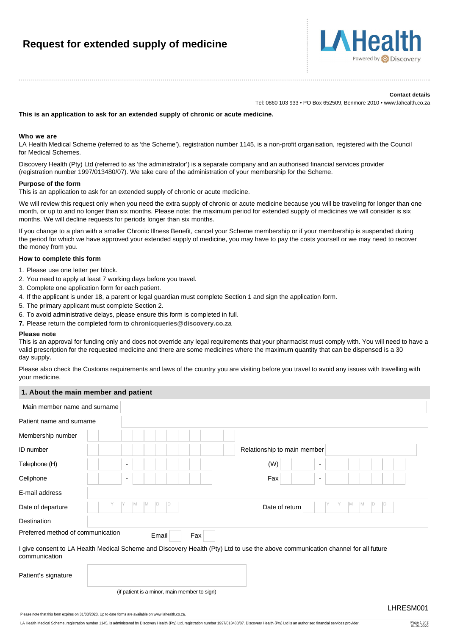# **Request for extended supply of medicine**



#### **Contact details**

Tel: 0860 103 933 • PO Box 652509, Benmore 2010 • www.lahealth.co.za

## **This is an application to ask for an extended supply of chronic or acute medicine.**

## **Who we are**

LA Health Medical Scheme (referred to as 'the Scheme'), registration number 1145, is a non-profit organisation, registered with the Council for Medical Schemes.

Discovery Health (Pty) Ltd (referred to as 'the administrator') is a separate company and an authorised financial services provider (registration number 1997/013480/07). We take care of the administration of your membership for the Scheme.

#### **Purpose of the form**

This is an application to ask for an extended supply of chronic or acute medicine.

We will review this request only when you need the extra supply of chronic or acute medicine because you will be traveling for longer than one month, or up to and no longer than six months. Please note: the maximum period for extended supply of medicines we will consider is six months. We will decline requests for periods longer than six months.

If you change to a plan with a smaller Chronic Illness Benefit, cancel your Scheme membership or if your membership is suspended during the period for which we have approved your extended supply of medicine, you may have to pay the costs yourself or we may need to recover the money from you.

# **How to complete this form**

- 1. Please use one letter per block.
- 2. You need to apply at least 7 working days before you travel.
- 3. Complete one application form for each patient.
- 4. If the applicant is under 18, a parent or legal guardian must complete Section 1 and sign the application form.
- 5. The primary applicant must complete Section 2.
- 6. To avoid administrative delays, please ensure this form is completed in full.
- **7.** Please return the completed form to **[chronicqueries@discovery.co.za](mailto:chronicqueries@discovery.co.za)**

#### **Please note**

This is an approval for funding only and does not override any legal requirements that your pharmacist must comply with. You will need to have a valid prescription for the requested medicine and there are some medicines where the maximum quantity that can be dispensed is a 30 day supply.

Please also check the Customs requirements and laws of the country you are visiting before you travel to avoid any issues with travelling with your medicine.

# **1. About the main member and patient**

| Main member name and surname      |                                              |                                                                                                                                 |
|-----------------------------------|----------------------------------------------|---------------------------------------------------------------------------------------------------------------------------------|
| Patient name and surname          |                                              |                                                                                                                                 |
| Membership number                 |                                              |                                                                                                                                 |
| ID number                         |                                              | Relationship to main member                                                                                                     |
| Telephone (H)                     |                                              | (W)                                                                                                                             |
| Cellphone                         | $\overline{\phantom{a}}$                     | Fax<br>$\overline{\phantom{a}}$                                                                                                 |
| E-mail address                    |                                              |                                                                                                                                 |
| Date of departure                 | M<br>ID<br>ID<br>M                           | IM.<br>IM.<br>ID<br>ID<br>Date of return                                                                                        |
| Destination                       |                                              |                                                                                                                                 |
| Preferred method of communication | Email                                        | Fax                                                                                                                             |
| communication                     |                                              | I give consent to LA Health Medical Scheme and Discovery Health (Pty) Ltd to use the above communication channel for all future |
| Patient's signature               |                                              |                                                                                                                                 |
|                                   | (if patient is a minor, main member to sign) |                                                                                                                                 |
|                                   |                                              | LHRESM001                                                                                                                       |